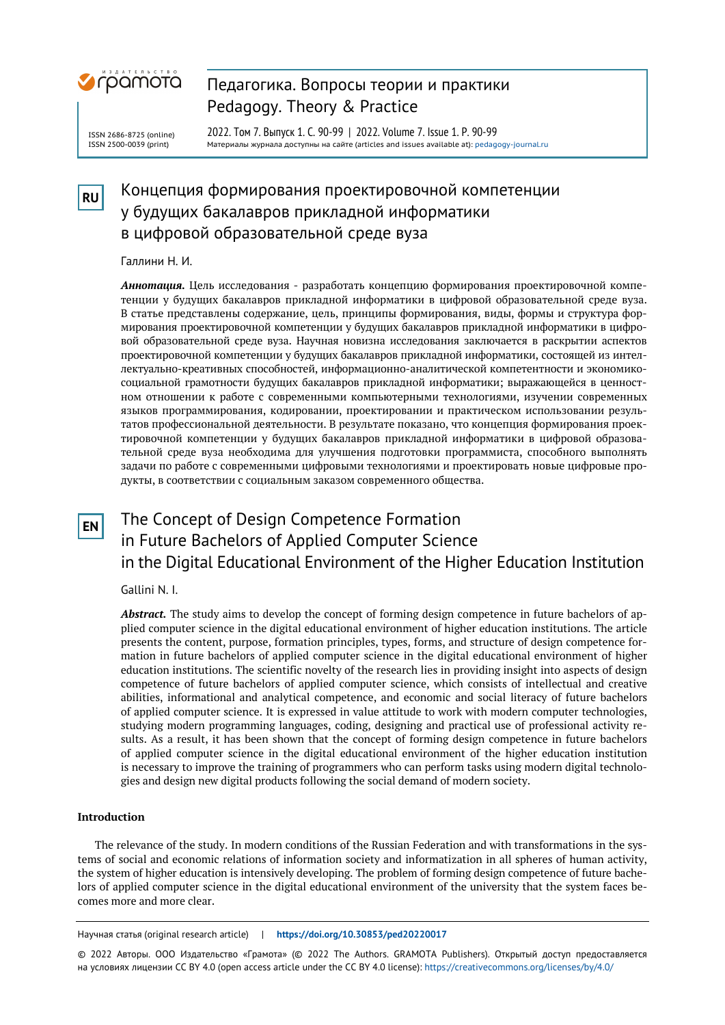

#### ISSN 2686-8725 (online) ISSN 2500-0039 (print)

Pedagogy. Theory & Practice 2022. Том 7. Выпуск 1. С. 90-99 | 2022. Volume 7. Issue 1. P. 90-99

Педагогика. Вопросы теории и практики

Материалы журнала доступны на сайте (articles and issues available at)[: pedagogy-journal.ru](http://pedagogy-journal.ru/)

# **RU** Концепция формирования проектировочной компетенции у будущих бакалавров прикладной информатики в цифровой образовательной среде вуза

# Галлини Н. И.

*Аннотация.* Цель исследования - разработать концепцию формирования проектировочной компетенции у будущих бакалавров прикладной информатики в цифровой образовательной среде вуза. В статье представлены содержание, цель, принципы формирования, виды, формы и структура формирования проектировочной компетенции у будущих бакалавров прикладной информатики в цифровой образовательной среде вуза. Научная новизна исследования заключается в раскрытии аспектов проектировочной компетенции у будущих бакалавров прикладной информатики, состоящей из интеллектуально-креативных способностей, информационно-аналитической компетентности и экономикосоциальной грамотности будущих бакалавров прикладной информатики; выражающейся в ценностном отношении к работе с современными компьютерными технологиями, изучении современных языков программирования, кодировании, проектировании и практическом использовании результатов профессиональной деятельности. В результате показано, что концепция формирования проектировочной компетенции у будущих бакалавров прикладной информатики в цифровой образовательной среде вуза необходима для улучшения подготовки программиста, способного выполнять задачи по работе с современными цифровыми технологиями и проектировать новые цифровые продукты, в соответствии с социальным заказом современного общества.

# **EN** The Concept of Design Competence Formation in Future Bachelors of Applied Computer Science in the Digital Educational Environment of the Higher Education Institution

# Gallini N. I.

*Abstract.* The study aims to develop the concept of forming design competence in future bachelors of applied computer science in the digital educational environment of higher education institutions. The article presents the content, purpose, formation principles, types, forms, and structure of design competence formation in future bachelors of applied computer science in the digital educational environment of higher education institutions. The scientific novelty of the research lies in providing insight into aspects of design competence of future bachelors of applied computer science, which consists of intellectual and creative abilities, informational and analytical competence, and economic and social literacy of future bachelors of applied computer science. It is expressed in value attitude to work with modern computer technologies, studying modern programming languages, coding, designing and practical use of professional activity results. As a result, it has been shown that the concept of forming design competence in future bachelors of applied computer science in the digital educational environment of the higher education institution is necessary to improve the training of programmers who can perform tasks using modern digital technologies and design new digital products following the social demand of modern society.

# **Introduction**

The relevance of the study. In modern conditions of the Russian Federation and with transformations in the systems of social and economic relations of information society and informatization in all spheres of human activity, the system of higher education is intensively developing. The problem of forming design competence of future bachelors of applied computer science in the digital educational environment of the university that the system faces becomes more and more clear.

Научная статья (original research article) | **https://doi.org/10.30853/ped20220017**

© 2022 Авторы. ООО Издательство «Грамота» (© 2022 The Authors. GRAMOTA Publishers). Открытый доступ предоставляется на условиях лицензии CC BY 4.0 (open access article under the CC BY 4.0 license): https://creativecommons.org/licenses/by/4.0/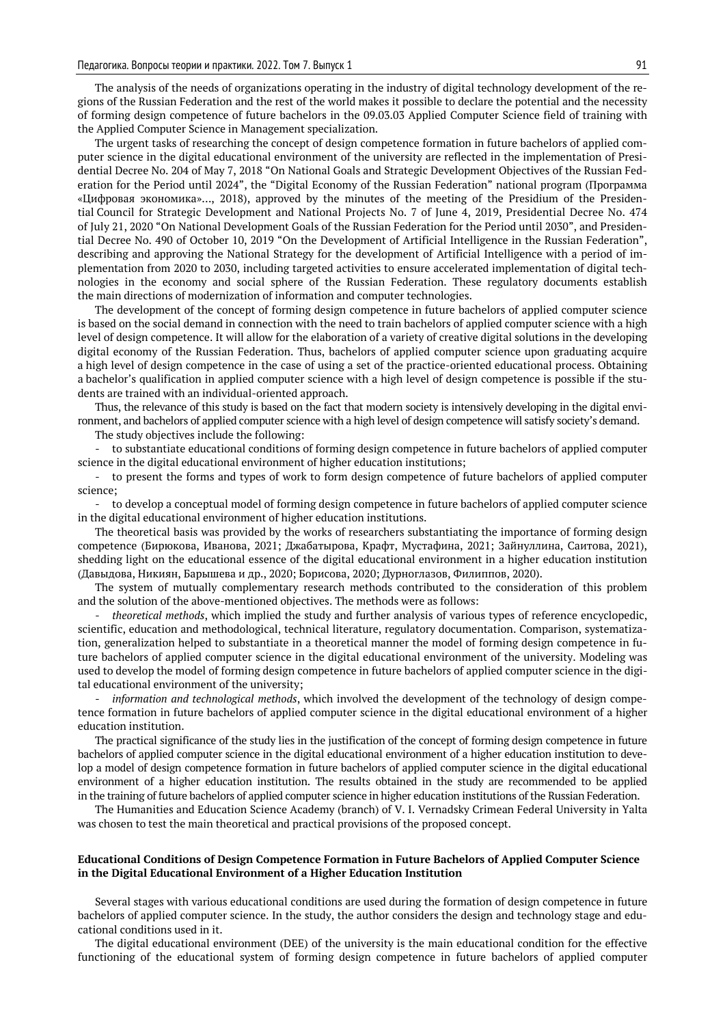The analysis of the needs of organizations operating in the industry of digital technology development of the regions of the Russian Federation and the rest of the world makes it possible to declare the potential and the necessity of forming design competence of future bachelors in the 09.03.03 Applied Computer Science field of training with the Applied Computer Science in Management specialization.

The urgent tasks of researching the concept of design competence formation in future bachelors of applied computer science in the digital educational environment of the university are reflected in the implementation of Presidential Decree No. 204 of May 7, 2018 "On National Goals and Strategic Development Objectives of the Russian Federation for the Period until 2024", the "Digital Economy of the Russian Federation" national program (Программа «Цифровая экономика»…, 2018), approved by the minutes of the meeting of the Presidium of the Presidential Council for Strategic Development and National Projects No. 7 of June 4, 2019, Presidential Decree No. 474 of July 21, 2020 "On National Development Goals of the Russian Federation for the Period until 2030", and Presidential Decree No. 490 of October 10, 2019 "On the Development of Artificial Intelligence in the Russian Federation", describing and approving the National Strategy for the development of Artificial Intelligence with a period of implementation from 2020 to 2030, including targeted activities to ensure accelerated implementation of digital technologies in the economy and social sphere of the Russian Federation. These regulatory documents establish the main directions of modernization of information and computer technologies.

The development of the concept of forming design competence in future bachelors of applied computer science is based on the social demand in connection with the need to train bachelors of applied computer science with a high level of design competence. It will allow for the elaboration of a variety of creative digital solutions in the developing digital economy of the Russian Federation. Thus, bachelors of applied computer science upon graduating acquire a high level of design competence in the case of using a set of the practice-oriented educational process. Obtaining a bachelor's qualification in applied computer science with a high level of design competence is possible if the students are trained with an individual-oriented approach.

Thus, the relevance of this study is based on the fact that modern society is intensively developing in the digital environment, and bachelors of applied computer science with a high level of design competence will satisfy society's demand.

The study objectives include the following:

to substantiate educational conditions of forming design competence in future bachelors of applied computer science in the digital educational environment of higher education institutions;

to present the forms and types of work to form design competence of future bachelors of applied computer science;

- to develop a conceptual model of forming design competence in future bachelors of applied computer science in the digital educational environment of higher education institutions.

The theoretical basis was provided by the works of researchers substantiating the importance of forming design competence (Бирюкова, Иванова, 2021; Джабатырова, Крафт, Мустафина, 2021; Зайнуллина, Саитова, 2021), shedding light on the educational essence of the digital educational environment in a higher education institution (Давыдова, Никиян, Барышева и др., 2020; Борисова, 2020; Дурноглазов, Филиппов, 2020).

The system of mutually complementary research methods contributed to the consideration of this problem and the solution of the above-mentioned objectives. The methods were as follows:

- *theoretical methods*, which implied the study and further analysis of various types of reference encyclopedic, scientific, education and methodological, technical literature, regulatory documentation. Comparison, systematization, generalization helped to substantiate in a theoretical manner the model of forming design competence in future bachelors of applied computer science in the digital educational environment of the university. Modeling was used to develop the model of forming design competence in future bachelors of applied computer science in the digital educational environment of the university;

- *information and technological methods*, which involved the development of the technology of design competence formation in future bachelors of applied computer science in the digital educational environment of a higher education institution.

The practical significance of the study lies in the justification of the concept of forming design competence in future bachelors of applied computer science in the digital educational environment of a higher education institution to develop a model of design competence formation in future bachelors of applied computer science in the digital educational environment of a higher education institution. The results obtained in the study are recommended to be applied in the training of future bachelors of applied computer science in higher education institutions of the Russian Federation.

The Humanities and Education Science Academy (branch) of V. I. Vernadsky Crimean Federal University in Yalta was chosen to test the main theoretical and practical provisions of the proposed concept.

#### **Educational Conditions of Design Competence Formation in Future Bachelors of Applied Computer Science in the Digital Educational Environment of a Higher Education Institution**

Several stages with various educational conditions are used during the formation of design competence in future bachelors of applied computer science. In the study, the author considers the design and technology stage and educational conditions used in it.

The digital educational environment (DEE) of the university is the main educational condition for the effective functioning of the educational system of forming design competence in future bachelors of applied computer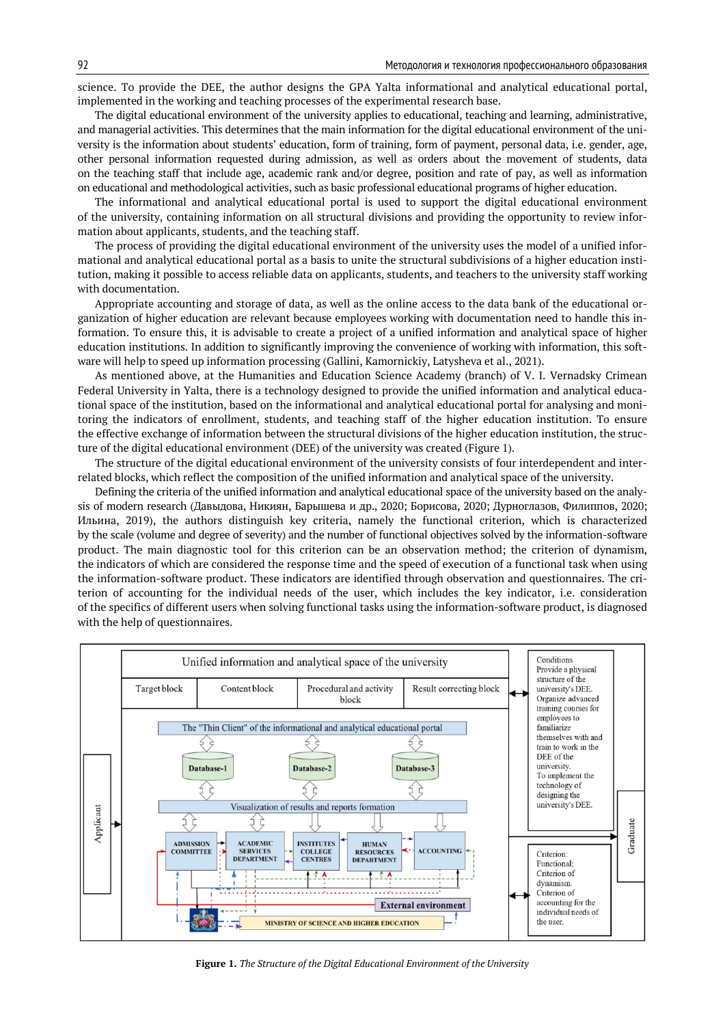science. To provide the DEE, the author designs the GPA Yalta informational and analytical educational portal, implemented in the working and teaching processes of the experimental research base.

The digital educational environment of the university applies to educational, teaching and learning, administrative, and managerial activities. This determines that the main information for the digital educational environment of the university is the information about students' education, form of training, form of payment, personal data, i.e. gender, age, other personal information requested during admission, as well as orders about the movement of students, data on the teaching staff that include age, academic rank and/or degree, position and rate of pay, as well as information on educational and methodological activities, such as basic professional educational programs of higher education.

The informational and analytical educational portal is used to support the digital educational environment of the university, containing information on all structural divisions and providing the opportunity to review information about applicants, students, and the teaching staff.

The process of providing the digital educational environment of the university uses the model of a unified informational and analytical educational portal as a basis to unite the structural subdivisions of a higher education institution, making it possible to access reliable data on applicants, students, and teachers to the university staff working with documentation.

Appropriate accounting and storage of data, as well as the online access to the data bank of the educational organization of higher education are relevant because employees working with documentation need to handle this information. To ensure this, it is advisable to create a project of a unified information and analytical space of higher education institutions. In addition to significantly improving the convenience of working with information, this software will help to speed up information processing (Gallini, Kamornickiy, Latysheva et al., 2021).

As mentioned above, at the Humanities and Education Science Academy (branch) of V. I. Vernadsky Crimean Federal University in Yalta, there is a technology designed to provide the unified information and analytical educational space of the institution, based on the informational and analytical educational portal for analysing and monitoring the indicators of enrollment, students, and teaching staff of the higher education institution. To ensure the effective exchange of information between the structural divisions of the higher education institution, the structure of the digital educational environment (DEE) of the university was created (Figure 1).

The structure of the digital educational environment of the university consists of four interdependent and interrelated blocks, which reflect the composition of the unified information and analytical space of the university.

Defining the criteria of the unified information and analytical educational space of the university based on the analysis of modern research (Давыдова, Никиян, Барышева и др., 2020; Борисова, 2020; Дурноглазов, Филиппов, 2020; Ильина, 2019), the authors distinguish key criteria, namely the functional criterion, which is characterized by the scale (volume and degree of severity) and the number of functional objectives solved by the information-software product. The main diagnostic tool for this criterion can be an observation method; the criterion of dynamism, the indicators of which are considered the response time and the speed of execution of a functional task when using the information-software product. These indicators are identified through observation and questionnaires. The criterion of accounting for the individual needs of the user, which includes the key indicator, i.e. consideration of the specifics of different users when solving functional tasks using the information-software product, is diagnosed with the help of questionnaires.



**Figure 1.** *The Structure of the Digital Educational Environment of the University*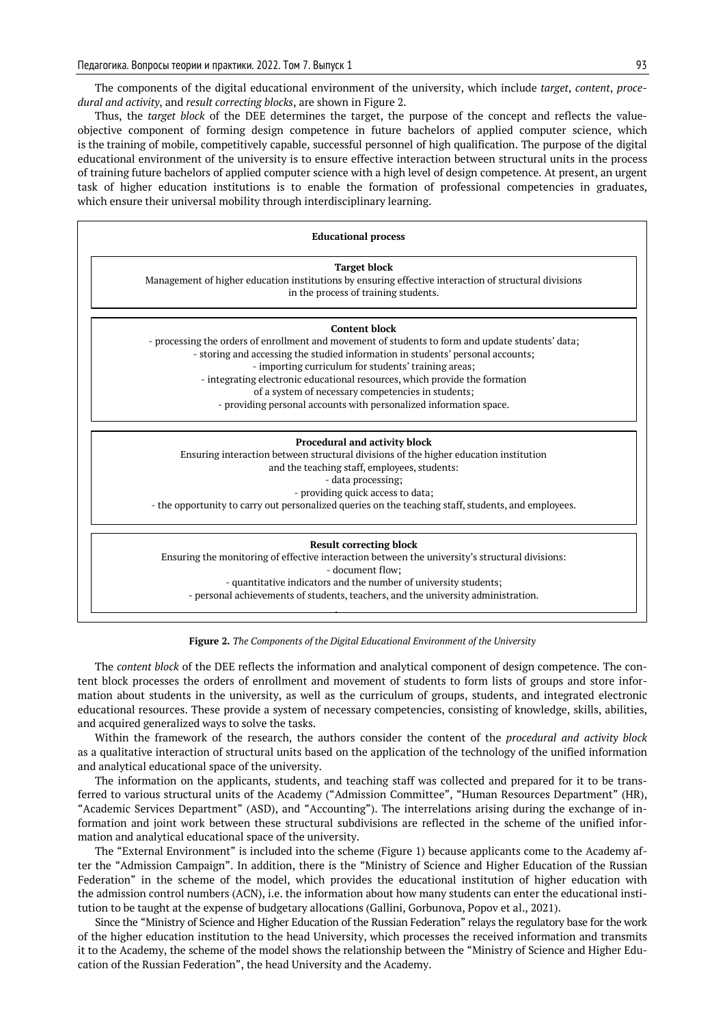The components of the digital educational environment of the university, which include *target*, *content*, *procedural and activity*, and *result correcting blocks*, are shown in Figure 2.

Thus, the *target block* of the DEE determines the target, the purpose of the concept and reflects the valueobjective component of forming design competence in future bachelors of applied computer science, which is the training of mobile, competitively capable, successful personnel of high qualification. The purpose of the digital educational environment of the university is to ensure effective interaction between structural units in the process of training future bachelors of applied computer science with a high level of design competence. At present, an urgent task of higher education institutions is to enable the formation of professional competencies in graduates, which ensure their universal mobility through interdisciplinary learning.

| <b>Educational process</b> |                                                                                                                                                                                                                                                                                                                                                                                                                                                                                 |  |  |  |
|----------------------------|---------------------------------------------------------------------------------------------------------------------------------------------------------------------------------------------------------------------------------------------------------------------------------------------------------------------------------------------------------------------------------------------------------------------------------------------------------------------------------|--|--|--|
|                            | <b>Target block</b><br>Management of higher education institutions by ensuring effective interaction of structural divisions<br>in the process of training students.                                                                                                                                                                                                                                                                                                            |  |  |  |
|                            | <b>Content block</b><br>- processing the orders of enrollment and movement of students to form and update students' data;<br>- storing and accessing the studied information in students' personal accounts;<br>- importing curriculum for students' training areas;<br>- integrating electronic educational resources, which provide the formation<br>of a system of necessary competencies in students;<br>- providing personal accounts with personalized information space. |  |  |  |
|                            | <b>Procedural and activity block</b><br>Ensuring interaction between structural divisions of the higher education institution<br>and the teaching staff, employees, students:<br>- data processing;<br>- providing quick access to data;<br>- the opportunity to carry out personalized queries on the teaching staff, students, and employees.                                                                                                                                 |  |  |  |
|                            | <b>Result correcting block</b><br>Ensuring the monitoring of effective interaction between the university's structural divisions:<br>- document flow;<br>- quantitative indicators and the number of university students;<br>- personal achievements of students, teachers, and the university administration.                                                                                                                                                                  |  |  |  |

#### **Figure 2.** *The Components of the Digital Educational Environment of the University*

The *content block* of the DEE reflects the information and analytical component of design competence. The content block processes the orders of enrollment and movement of students to form lists of groups and store information about students in the university, as well as the curriculum of groups, students, and integrated electronic educational resources. These provide a system of necessary competencies, consisting of knowledge, skills, abilities, and acquired generalized ways to solve the tasks.

Within the framework of the research, the authors consider the content of the *procedural and activity block* as a qualitative interaction of structural units based on the application of the technology of the unified information and analytical educational space of the university.

The information on the applicants, students, and teaching staff was collected and prepared for it to be transferred to various structural units of the Academy ("Admission Committee", "Human Resources Department" (HR), "Academic Services Department" (ASD), and "Accounting"). The interrelations arising during the exchange of information and joint work between these structural subdivisions are reflected in the scheme of the unified information and analytical educational space of the university.

The "External Environment" is included into the scheme (Figure 1) because applicants come to the Academy after the "Admission Campaign". In addition, there is the "Ministry of Science and Higher Education of the Russian Federation" in the scheme of the model, which provides the educational institution of higher education with the admission control numbers (ACN), i.e. the information about how many students can enter the educational institution to be taught at the expense of budgetary allocations (Gallini, Gorbunova, Popov et al., 2021).

Since the "Ministry of Science and Higher Education of the Russian Federation" relays the regulatory base for the work of the higher education institution to the head University, which processes the received information and transmits it to the Academy, the scheme of the model shows the relationship between the "Ministry of Science and Higher Education of the Russian Federation", the head University and the Academy.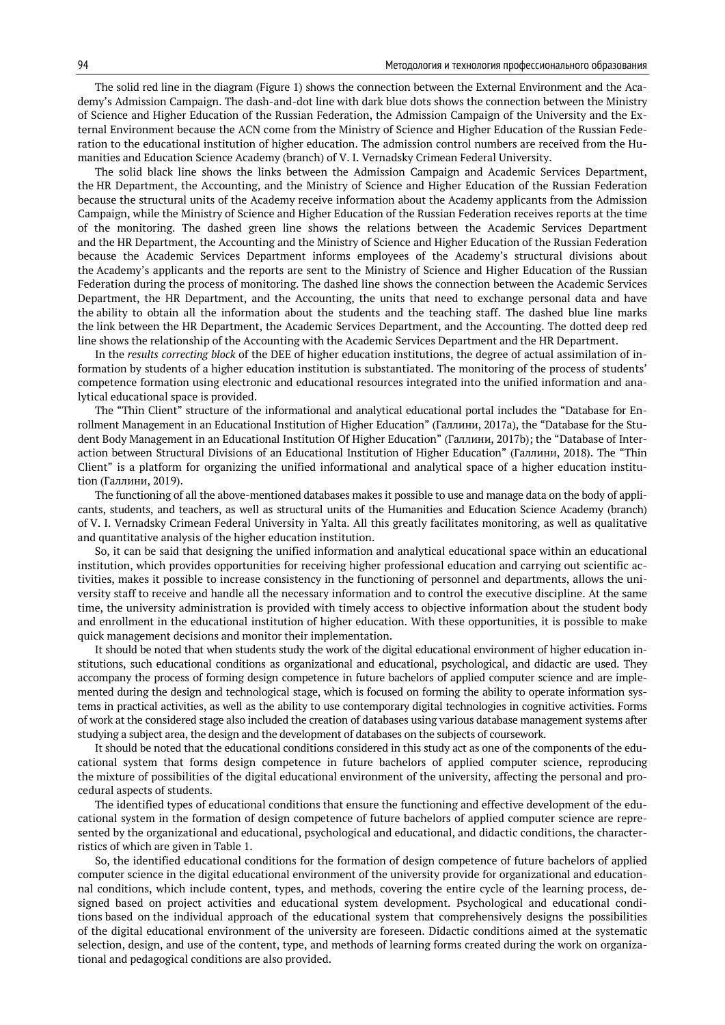The solid red line in the diagram (Figure 1) shows the connection between the External Environment and the Academy's Admission Campaign. The dash-and-dot line with dark blue dots shows the connection between the Ministry of Science and Higher Education of the Russian Federation, the Admission Campaign of the University and the External Environment because the ACN come from the Ministry of Science and Higher Education of the Russian Federation to the educational institution of higher education. The admission control numbers are received from the Humanities and Education Science Academy (branch) of V. I. Vernadsky Crimean Federal University.

The solid black line shows the links between the Admission Campaign and Academic Services Department, the HR Department, the Accounting, and the Ministry of Science and Higher Education of the Russian Federation because the structural units of the Academy receive information about the Academy applicants from the Admission Campaign, while the Ministry of Science and Higher Education of the Russian Federation receives reports at the time of the monitoring. The dashed green line shows the relations between the Academic Services Department and the HR Department, the Accounting and the Ministry of Science and Higher Education of the Russian Federation because the Academic Services Department informs employees of the Academy's structural divisions about the Academy's applicants and the reports are sent to the Ministry of Science and Higher Education of the Russian Federation during the process of monitoring. The dashed line shows the connection between the Academic Services Department, the HR Department, and the Accounting, the units that need to exchange personal data and have the ability to obtain all the information about the students and the teaching staff. The dashed blue line marks the link between the HR Department, the Academic Services Department, and the Accounting. The dotted deep red line shows the relationship of the Accounting with the Academic Services Department and the HR Department.

In the *results correcting block* of the DEE of higher education institutions, the degree of actual assimilation of information by students of a higher education institution is substantiated. The monitoring of the process of students' competence formation using electronic and educational resources integrated into the unified information and analytical educational space is provided.

The "Thin Client" structure of the informational and analytical educational portal includes the "Database for Enrollment Management in an Educational Institution of Higher Education" (Галлини, 2017a), the "Database for the Student Body Management in an Educational Institution Of Higher Education" (Галлини, 2017b); the "Database of Interaction between Structural Divisions of an Educational Institution of Higher Education" (Галлини, 2018). The "Thin Client" is a platform for organizing the unified informational and analytical space of a higher education institution (Галлини, 2019).

The functioning of all the above-mentioned databases makes it possible to use and manage data on the body of applicants, students, and teachers, as well as structural units of the Humanities and Education Science Academy (branch) of V. I. Vernadsky Crimean Federal University in Yalta. All this greatly facilitates monitoring, as well as qualitative and quantitative analysis of the higher education institution.

So, it can be said that designing the unified information and analytical educational space within an educational institution, which provides opportunities for receiving higher professional education and carrying out scientific activities, makes it possible to increase consistency in the functioning of personnel and departments, allows the university staff to receive and handle all the necessary information and to control the executive discipline. At the same time, the university administration is provided with timely access to objective information about the student body and enrollment in the educational institution of higher education. With these opportunities, it is possible to make quick management decisions and monitor their implementation.

It should be noted that when students study the work of the digital educational environment of higher education institutions, such educational conditions as organizational and educational, psychological, and didactic are used. They accompany the process of forming design competence in future bachelors of applied computer science and are implemented during the design and technological stage, which is focused on forming the ability to operate information systems in practical activities, as well as the ability to use contemporary digital technologies in cognitive activities. Forms of work at the considered stage also included the creation of databases using various database management systems after studying a subject area, the design and the development of databases on the subjects of coursework.

It should be noted that the educational conditions considered in this study act as one of the components of the educational system that forms design competence in future bachelors of applied computer science, reproducing the mixture of possibilities of the digital educational environment of the university, affecting the personal and procedural aspects of students.

The identified types of educational conditions that ensure the functioning and effective development of the educational system in the formation of design competence of future bachelors of applied computer science are represented by the organizational and educational, psychological and educational, and didactic conditions, the characterristics of which are given in Table 1.

So, the identified educational conditions for the formation of design competence of future bachelors of applied computer science in the digital educational environment of the university provide for organizational and educationnal conditions, which include content, types, and methods, covering the entire cycle of the learning process, designed based on project activities and educational system development. Psychological and educational conditions based on the individual approach of the educational system that comprehensively designs the possibilities of the digital educational environment of the university are foreseen. Didactic conditions aimed at the systematic selection, design, and use of the content, type, and methods of learning forms created during the work on organizational and pedagogical conditions are also provided.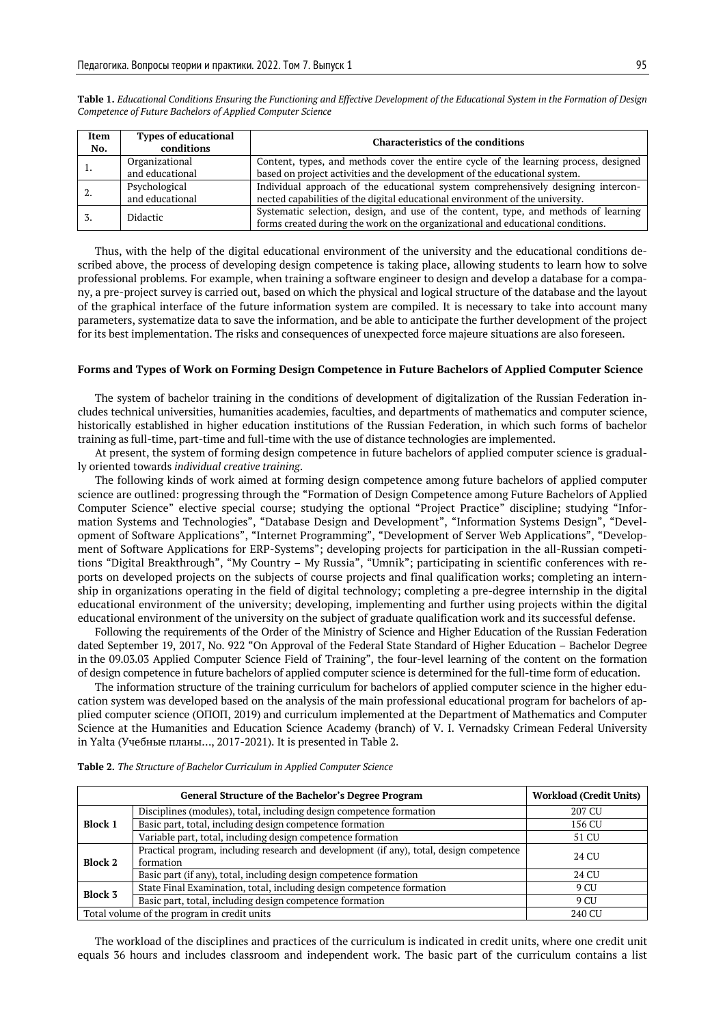| Item<br>No. | <b>Types of educational</b><br>conditions | <b>Characteristics of the conditions</b>                                             |
|-------------|-------------------------------------------|--------------------------------------------------------------------------------------|
|             | Organizational                            | Content, types, and methods cover the entire cycle of the learning process, designed |
|             | and educational                           | based on project activities and the development of the educational system.           |
|             | Psychological                             | Individual approach of the educational system comprehensively designing intercon-    |
|             | and educational                           | nected capabilities of the digital educational environment of the university.        |
|             | <b>Didactic</b>                           | Systematic selection, design, and use of the content, type, and methods of learning  |
|             |                                           | forms created during the work on the organizational and educational conditions.      |

**Table 1.** *Educational Conditions Ensuring the Functioning and Effective Development of the Educational System in the Formation of Design Competence of Future Bachelors of Applied Computer Science*

Thus, with the help of the digital educational environment of the university and the educational conditions described above, the process of developing design competence is taking place, allowing students to learn how to solve professional problems. For example, when training a software engineer to design and develop a database for a company, a pre-project survey is carried out, based on which the physical and logical structure of the database and the layout of the graphical interface of the future information system are compiled. It is necessary to take into account many parameters, systematize data to save the information, and be able to anticipate the further development of the project for its best implementation. The risks and consequences of unexpected force majeure situations are also foreseen.

#### **Forms and Types of Work on Forming Design Competence in Future Bachelors of Applied Computer Science**

The system of bachelor training in the conditions of development of digitalization of the Russian Federation includes technical universities, humanities academies, faculties, and departments of mathematics and computer science, historically established in higher education institutions of the Russian Federation, in which such forms of bachelor training as full-time, part-time and full-time with the use of distance technologies are implemented.

At present, the system of forming design competence in future bachelors of applied computer science is gradually oriented towards *individual creative training*.

The following kinds of work aimed at forming design competence among future bachelors of applied computer science are outlined: progressing through the "Formation of Design Competence among Future Bachelors of Applied Computer Science" elective special course; studying the optional "Project Practice" discipline; studying "Information Systems and Technologies", "Database Design and Development", "Information Systems Design", "Development of Software Applications", "Internet Programming", "Development of Server Web Applications", "Development of Software Applications for ERP-Systems"; developing projects for participation in the all-Russian competitions "Digital Breakthrough", "My Country – My Russia", "Umnik"; participating in scientific conferences with reports on developed projects on the subjects of course projects and final qualification works; completing an internship in organizations operating in the field of digital technology; completing a pre-degree internship in the digital educational environment of the university; developing, implementing and further using projects within the digital educational environment of the university on the subject of graduate qualification work and its successful defense.

Following the requirements of the Order of the Ministry of Science and Higher Education of the Russian Federation dated September 19, 2017, No. 922 "On Approval of the Federal State Standard of Higher Education – Bachelor Degree in the 09.03.03 Applied Computer Science Field of Training", the four-level learning of the content on the formation of design competence in future bachelors of applied computer science is determined for the full-time form of education.

The information structure of the training curriculum for bachelors of applied computer science in the higher education system was developed based on the analysis of the main professional educational program for bachelors of applied computer science (ОПОП, 2019) and curriculum implemented at the Department of Mathematics and Computer Science at the Humanities and Education Science Academy (branch) of V. I. Vernadsky Crimean Federal University in Yalta (Учебные планы…, 2017-2021). It is presented in Table 2.

|                                             | <b>Workload (Credit Units)</b>                                                           |        |
|---------------------------------------------|------------------------------------------------------------------------------------------|--------|
| <b>Block 1</b>                              | Disciplines (modules), total, including design competence formation                      | 207 CU |
|                                             | Basic part, total, including design competence formation                                 | 156 CU |
|                                             | Variable part, total, including design competence formation                              | 51 CU  |
| Block 2                                     | Practical program, including research and development (if any), total, design competence | 24 CU  |
|                                             | formation                                                                                |        |
|                                             | Basic part (if any), total, including design competence formation                        | 24 CU  |
| <b>Block 3</b>                              | State Final Examination, total, including design competence formation                    | 9 CU   |
|                                             | Basic part, total, including design competence formation                                 | 9 CU   |
| Total volume of the program in credit units | 240 CU                                                                                   |        |

**Table 2.** *The Structure of Bachelor Curriculum in Applied Computer Science*

The workload of the disciplines and practices of the curriculum is indicated in credit units, where one credit unit equals 36 hours and includes classroom and independent work. The basic part of the curriculum contains a list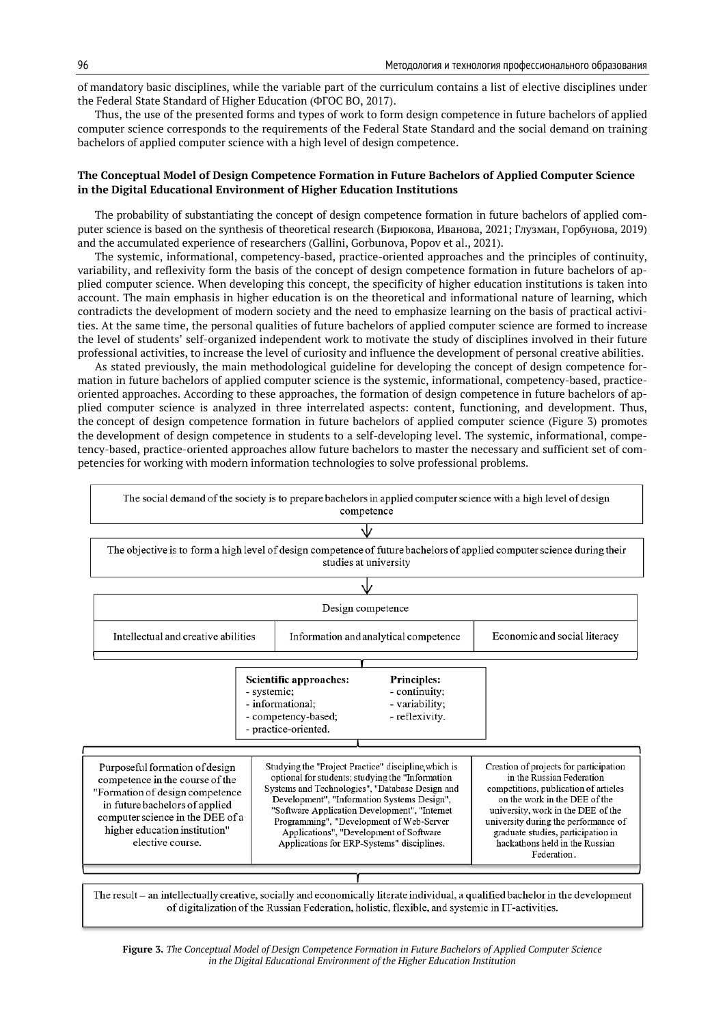of mandatory basic disciplines, while the variable part of the curriculum contains a list of elective disciplines under the Federal State Standard of Higher Education (ФГОС ВО, 2017).

Thus, the use of the presented forms and types of work to form design competence in future bachelors of applied computer science corresponds to the requirements of the Federal State Standard and the social demand on training bachelors of applied computer science with a high level of design competence.

### **The Conceptual Model of Design Competence Formation in Future Bachelors of Applied Computer Science in the Digital Educational Environment of Higher Education Institutions**

The probability of substantiating the concept of design competence formation in future bachelors of applied computer science is based on the synthesis of theoretical research (Бирюкова, Иванова, 2021; Глузман, Горбунова, 2019) and the accumulated experience of researchers (Gallini, Gorbunova, Popov et al., 2021).

The systemic, informational, competencу-based, practice-oriented approaches and the principles of continuity, variability, and reflexivity form the basis of the concept of design competence formation in future bachelors of applied computer science. When developing this concept, the specificity of higher education institutions is taken into account. The main emphasis in higher education is on the theoretical and informational nature of learning, which contradicts the development of modern society and the need to emphasize learning on the basis of practical activities. At the same time, the personal qualities of future bachelors of applied computer science are formed to increase the level of students' self-organized independent work to motivate the study of disciplines involved in their future professional activities, to increase the level of curiosity and influence the development of personal creative abilities.

As stated previously, the main methodological guideline for developing the concept of design competence formation in future bachelors of applied computer science is the systemic, informational, competencу-based, practiceoriented approaches. According to these approaches, the formation of design competence in future bachelors of applied computer science is analyzed in three interrelated aspects: content, functioning, and development. Thus, the concept of design competence formation in future bachelors of applied computer science (Figure 3) promotes the development of design competence in students to a self-developing level. The systemic, informational, competencу-based, practice-oriented approaches allow future bachelors to master the necessary and sufficient set of competencies for working with modern information technologies to solve professional problems.



of digitalization of the Russian Federation, holistic, flexible, and systemic in IT-activities.

**Figure 3.** *The Conceptual Model of Design Competence Formation in Future Bachelors of Applied Computer Science in the Digital Educational Environment of the Higher Education Institution*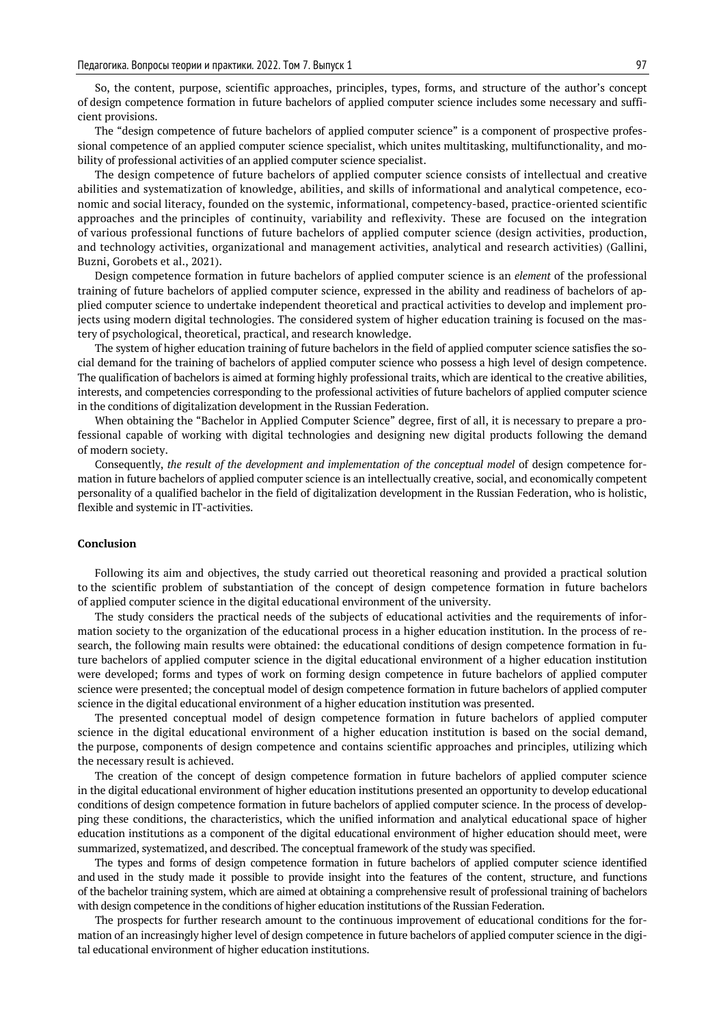So, the content, purpose, scientific approaches, principles, types, forms, and structure of the author's concept of design competence formation in future bachelors of applied computer science includes some necessary and sufficient provisions.

The "design competence of future bachelors of applied computer science" is a component of prospective professional competence of an applied computer science specialist, which unites multitasking, multifunctionality, and mobility of professional activities of an applied computer science specialist.

The design competence of future bachelors of applied computer science consists of intellectual and creative abilities and systematization of knowledge, abilities, and skills of informational and analytical competence, economic and social literacy, founded on the systemic, informational, competencу-based, practice-oriented scientific approaches and the principles of continuity, variability and reflexivity. These are focused on the integration of various professional functions of future bachelors of applied computer science (design activities, production, and technology activities, organizational and management activities, analytical and research activities) (Gallini, Buzni, Gorobets et al., 2021).

Design competence formation in future bachelors of applied computer science is an *element* of the professional training of future bachelors of applied computer science, expressed in the ability and readiness of bachelors of applied computer science to undertake independent theoretical and practical activities to develop and implement projects using modern digital technologies. The considered system of higher education training is focused on the mastery of psychological, theoretical, practical, and research knowledge.

The system of higher education training of future bachelors in the field of applied computer science satisfies the social demand for the training of bachelors of applied computer science who possess a high level of design competence. The qualification of bachelors is aimed at forming highly professional traits, which are identical to the creative abilities, interests, and competencies corresponding to the professional activities of future bachelors of applied computer science in the conditions of digitalization development in the Russian Federation.

When obtaining the "Bachelor in Applied Computer Science" degree, first of all, it is necessary to prepare a professional capable of working with digital technologies and designing new digital products following the demand of modern society.

Consequently, *the result of the development and implementation of the conceptual model* of design competence formation in future bachelors of applied computer science is an intellectually creative, social, and economically competent personality of a qualified bachelor in the field of digitalization development in the Russian Federation, who is holistic, flexible and systemic in IT-activities.

#### **Conclusion**

Following its aim and objectives, the study carried out theoretical reasoning and provided a practical solution to the scientific problem of substantiation of the concept of design competence formation in future bachelors of applied computer science in the digital educational environment of the university.

The study considers the practical needs of the subjects of educational activities and the requirements of information society to the organization of the educational process in a higher education institution. In the process of research, the following main results were obtained: the educational conditions of design competence formation in future bachelors of applied computer science in the digital educational environment of a higher education institution were developed; forms and types of work on forming design competence in future bachelors of applied computer science were presented; the conceptual model of design competence formation in future bachelors of applied computer science in the digital educational environment of a higher education institution was presented.

The presented conceptual model of design competence formation in future bachelors of applied computer science in the digital educational environment of a higher education institution is based on the social demand, the purpose, components of design competence and contains scientific approaches and principles, utilizing which the necessary result is achieved.

The creation of the concept of design competence formation in future bachelors of applied computer science in the digital educational environment of higher education institutions presented an opportunity to develop educational conditions of design competence formation in future bachelors of applied computer science. In the process of developping these conditions, the characteristics, which the unified information and analytical educational space of higher education institutions as a component of the digital educational environment of higher education should meet, were summarized, systematized, and described. The conceptual framework of the study was specified.

The types and forms of design competence formation in future bachelors of applied computer science identified and used in the study made it possible to provide insight into the features of the content, structure, and functions of the bachelor training system, which are aimed at obtaining a comprehensive result of professional training of bachelors with design competence in the conditions of higher education institutions of the Russian Federation.

The prospects for further research amount to the continuous improvement of educational conditions for the formation of an increasingly higher level of design competence in future bachelors of applied computer science in the digital educational environment of higher education institutions.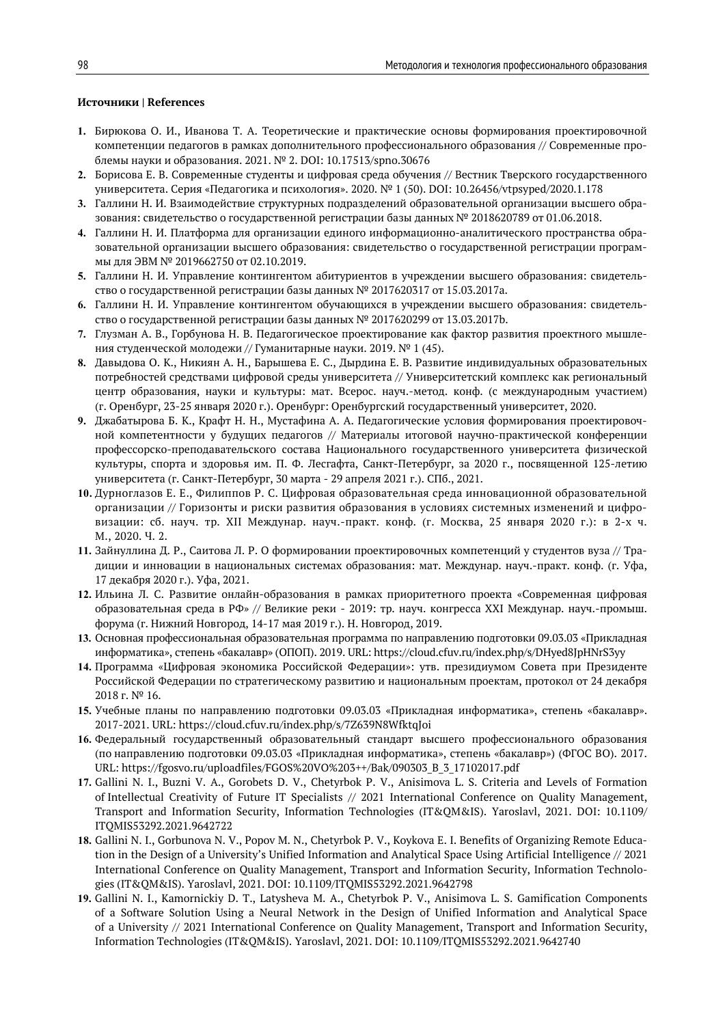#### **Источники | References**

- **1.** Бирюкова О. И., Иванова Т. А. Теоретические и практические основы формирования проектировочной компетенции педагогов в рамках дополнительного профессионального образования // Современные проблемы науки и образования. 2021. № 2. DOI: 10.17513/spno.30676
- **2.** Борисова Е. В. Современные студенты и цифровая среда обучения // Вестник Тверского государственного университета. Серия «Педагогика и психология». 2020. № 1 (50). DOI: 10.26456/vtpsyped/2020.1.178
- **3.** Галлини Н. И. Взаимодействие структурных подразделений образовательной организации высшего образования: свидетельство о государственной регистрации базы данных № 2018620789 от 01.06.2018.
- **4.** Галлини Н. И. Платформа для организации единого информационно-аналитического пространства образовательной организации высшего образования: свидетельство о государственной регистрации программы для ЭВМ № 2019662750 от 02.10.2019.
- **5.** Галлини Н. И. Управление контингентом абитуриентов в учреждении высшего образования: свидетельство о государственной регистрации базы данных № 2017620317 от 15.03.2017a.
- **6.** Галлини Н. И. Управление контингентом обучающихся в учреждении высшего образования: свидетельство о государственной регистрации базы данных № 2017620299 от 13.03.2017b.
- **7.** Глузман А. В., Горбунова Н. В. Педагогическое проектирование как фактор развития проектного мышления студенческой молодежи // Гуманитарные науки. 2019. № 1 (45).
- **8.** Давыдова О. К., Никиян А. Н., Барышева Е. С., Дырдина Е. В. Развитие индивидуальных образовательных потребностей средствами цифровой среды университета // Университетский комплекс как региональный центр образования, науки и культуры: мат. Всерос. науч.-метод. конф. (с международным участием) (г. Оренбург, 23-25 января 2020 г.). Оренбург: Оренбургский государственный университет, 2020.
- **9.** Джабатырова Б. К., Крафт Н. Н., Мустафина А. А. Педагогические условия формирования проектировочной компетентности у будущих педагогов // Материалы итоговой научно-практической конференции профессорско-преподавательского состава Национального государственного университета физической культуры, спорта и здоровья им. П. Ф. Лесгафта, Санкт-Петербург, за 2020 г., посвященной 125-летию университета (г. Санкт-Петербург, 30 марта - 29 апреля 2021 г.). СПб., 2021.
- **10.** Дурноглазов Е. Е., Филиппов Р. С. Цифровая образовательная среда инновационной образовательной организации // Горизонты и риски развития образования в условиях системных изменений и цифровизации: сб. науч. тр. XII Междунар. науч.-практ. конф. (г. Москва, 25 января 2020 г.): в 2-х ч. М., 2020. Ч. 2.
- **11.** Зайнуллина Д. Р., Саитова Л. Р. О формировании проектировочных компетенций у студентов вуза // Традиции и инновации в национальных системах образования: мат. Междунар. науч.-практ. конф. (г. Уфа, 17 декабря 2020 г.). Уфа, 2021.
- **12.** Ильина Л. С. Развитие онлайн-образования в рамках приоритетного проекта «Cовременная цифровая образовательная среда в РФ» // Великие реки - 2019: тр. науч. конгресса XXI Междунар. науч.-промыш. форума (г. Нижний Новгород, 14-17 мая 2019 г.). Н. Новгород, 2019.
- **13.** Основная профессиональная образовательная программа по направлению подготовки 09.03.03 «Прикладная информатика», степень «бакалавр» (ОПОП). 2019. URL: https://cloud.cfuv.ru/index.php/s/DHyed8JpHNrS3yy
- **14.** Программа «Цифровая экономика Российской Федерации»: утв. президиумом Совета при Президенте Российской Федерации по стратегическому развитию и национальным проектам, протокол от 24 декабря 2018 г. № 16.
- **15.** Учебные планы по направлению подготовки 09.03.03 «Прикладная информатика», степень «бакалавр». 2017-2021. URL: https://cloud.cfuv.ru/index.php/s/7Z639N8WfktqJoi
- **16.** Федеральный государственный образовательный стандарт высшего профессионального образования (по направлению подготовки 09.03.03 «Прикладная информатика», степень «бакалавр») (ФГОС ВО). 2017. URL: https://fgosvo.ru/uploadfiles/FGOS%20VO%203++/Bak/090303\_B\_3\_17102017.pdf
- **17.** Gallini N. I., Buzni V. A., Gorobets D. V., Chetyrbok P. V., Anisimova L. S. Criteria and Levels of Formation of Intellectual Creativity of Future IT Specialists // 2021 International Conference on Quality Management, Transport and Information Security, Information Technologies (IT&QM&IS). Yaroslavl, 2021. DOI: 10.1109/ ITQMIS53292.2021.9642722
- **18.** Gallini N. I., Gorbunova N. V., Popov M. N., Chetyrbok P. V., Koykova E. I. Benefits of Organizing Remote Education in the Design of a University's Unified Information and Analytical Space Using Artificial Intelligence // 2021 International Conference on Quality Management, Transport and Information Security, Information Technologies (IT&QM&IS). Yaroslavl, 2021. DOI: 10.1109/ITQMIS53292.2021.9642798
- **19.** Gallini N. I., Kamornickiy D. T., Latysheva M. A., Chetyrbok P. V., Anisimova L. S. Gamification Components of a Software Solution Using a Neural Network in the Design of Unified Information and Analytical Space of a University // 2021 International Conference on Quality Management, Transport and Information Security, Information Technologies (IT&QM&IS). Yaroslavl, 2021. DOI: 10.1109/ITQMIS53292.2021.9642740